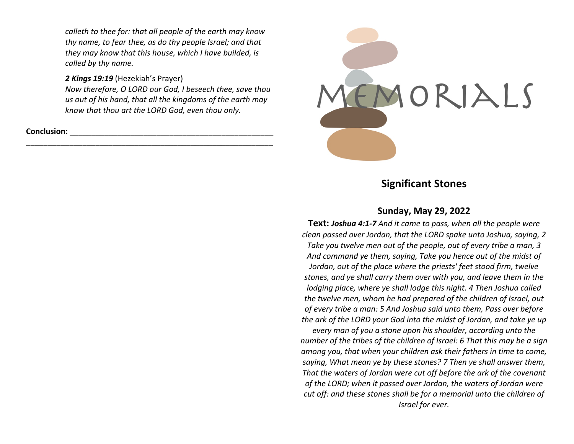*calleth to thee for: that all people of the earth may know thy name, to fear thee, as do thy people Israel; and that they may know that this house, which I have builded, is called by thy name.*

### *2 Kings 19:19* (Hezekiah's Prayer)

*Now therefore, O LORD our God, I beseech thee, save thou us out of his hand, that all the kingdoms of the earth may know that thou art the LORD God, even thou only.*

**\_\_\_\_\_\_\_\_\_\_\_\_\_\_\_\_\_\_\_\_\_\_\_\_\_\_\_\_\_\_\_\_\_\_\_\_\_\_\_\_\_\_\_\_\_\_\_\_\_\_\_\_\_\_\_\_\_**

**Conclusion: \_\_\_\_\_\_\_\_\_\_\_\_\_\_\_\_\_\_\_\_\_\_\_\_\_\_\_\_\_\_\_\_\_\_\_\_\_\_\_\_\_\_\_\_\_\_\_**



# **Significant Stones**

## **Sunday, May 29, 2022**

**Text:** *Joshua 4:1-7 And it came to pass, when all the people were clean passed over Jordan, that the LORD spake unto Joshua, saying, 2 Take you twelve men out of the people, out of every tribe a man, 3 And command ye them, saying, Take you hence out of the midst of Jordan, out of the place where the priests' feet stood firm, twelve stones, and ye shall carry them over with you, and leave them in the lodging place, where ye shall lodge this night. 4 Then Joshua called the twelve men, whom he had prepared of the children of Israel, out of every tribe a man: 5 And Joshua said unto them, Pass over before the ark of the LORD your God into the midst of Jordan, and take ye up* 

*every man of you a stone upon his shoulder, according unto the number of the tribes of the children of Israel: 6 That this may be a sign among you, that when your children ask their fathers in time to come, saying, What mean ye by these stones? 7 Then ye shall answer them, That the waters of Jordan were cut off before the ark of the covenant of the LORD; when it passed over Jordan, the waters of Jordan were cut off: and these stones shall be for a memorial unto the children of Israel for ever.*